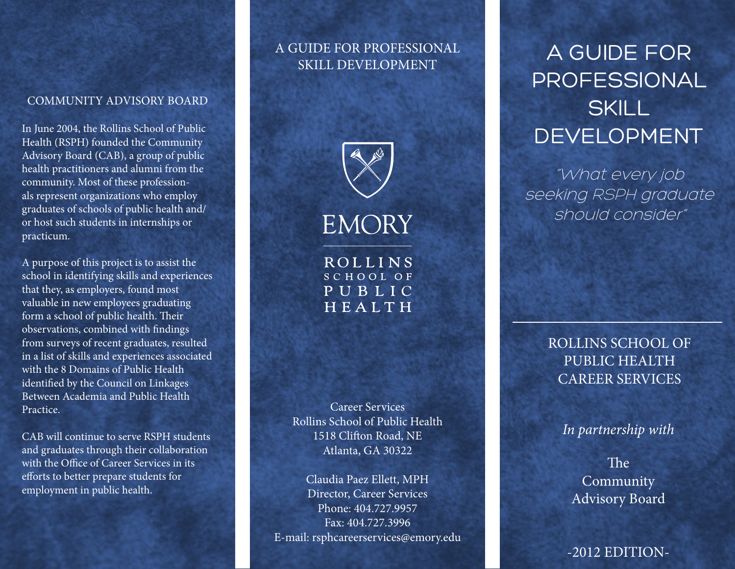#### COMMUNITY ADVISORY BOARD

In June 2004, the Rollins School of Public Health (RSPH) founded the Community Advisory Board (CAB), a group of public health practitioners and alumni from the community. Most of these professionals represent organizations who employ graduates of schools of public health and/ or host such students in internships or practicum.

A purpose of this project is to assist the school in identifying skills and experiences that they, as employers, found most valuable in new employees graduating form a school of public health. Their observations, combined with findings from surveys of recent graduates, resulted in a list of skills and experiences associated with the 8 Domains of Public Health identified by the Council on Linkages Between Academia and Public Health Practice.

CAB will continue to serve RSPH students and graduates through their collaboration with the Office of Career Services in its efforts to better prepare students for employment in public health.

### A GUIDE FOR PROFESSIONAL SKILL DEVELOPMENT



**ROLLINS** SCHOOL OF PUBLIC HEALTH

Career Services Rollins School of Public Health 1518 Clifton Road, NE Atlanta, GA 30322

Claudia Paez Ellett, MPH Director, Career Services Phone: 404.727.9957 Fax: 404.727.3996 E-mail: rsphcareerservices@emory.edu

# A GUIDE FOR PROFESSIONAL **SKILL** DEVELOPMENT

"What every job seeking RSPH graduate should consider"

> ROLLINS SCHOOL OF PUBLIC HEALTH CAREER SERVICES

### *In partnership with*

The Community Advisory Board

-2012 EDITION-